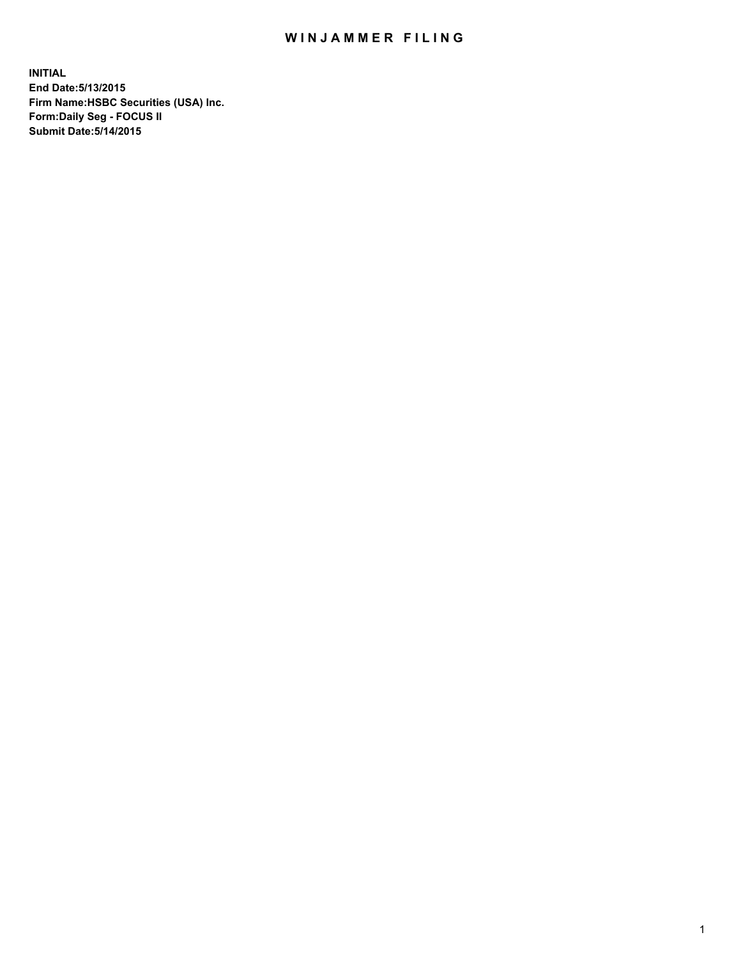## WIN JAMMER FILING

**INITIAL End Date:5/13/2015 Firm Name:HSBC Securities (USA) Inc. Form:Daily Seg - FOCUS II Submit Date:5/14/2015**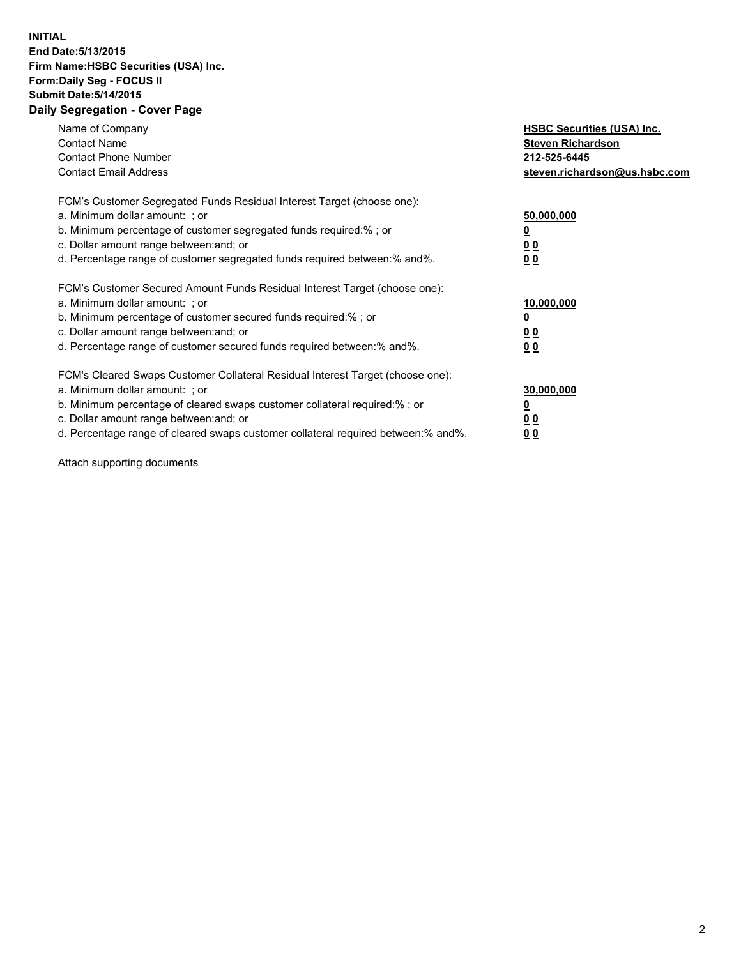## **INITIAL End Date:5/13/2015 Firm Name:HSBC Securities (USA) Inc. Form:Daily Seg - FOCUS II Submit Date:5/14/2015 Daily Segregation - Cover Page**

| Name of Company<br><b>Contact Name</b><br><b>Contact Phone Number</b><br><b>Contact Email Address</b>                                                                                                                                                                                                                          | <b>HSBC Securities (USA) Inc.</b><br><b>Steven Richardson</b><br>212-525-6445<br>steven.richardson@us.hsbc.com |
|--------------------------------------------------------------------------------------------------------------------------------------------------------------------------------------------------------------------------------------------------------------------------------------------------------------------------------|----------------------------------------------------------------------------------------------------------------|
| FCM's Customer Segregated Funds Residual Interest Target (choose one):<br>a. Minimum dollar amount: ; or<br>b. Minimum percentage of customer segregated funds required:%; or<br>c. Dollar amount range between: and; or<br>d. Percentage range of customer segregated funds required between: % and %.                        | 50,000,000<br>0 <sub>0</sub><br>0 <sub>0</sub>                                                                 |
| FCM's Customer Secured Amount Funds Residual Interest Target (choose one):<br>a. Minimum dollar amount: ; or<br>b. Minimum percentage of customer secured funds required:%; or<br>c. Dollar amount range between: and; or<br>d. Percentage range of customer secured funds required between:% and%.                            | 10,000,000<br><u>0</u><br>0 <sub>0</sub><br>0 <sub>0</sub>                                                     |
| FCM's Cleared Swaps Customer Collateral Residual Interest Target (choose one):<br>a. Minimum dollar amount: ; or<br>b. Minimum percentage of cleared swaps customer collateral required:% ; or<br>c. Dollar amount range between: and; or<br>d. Percentage range of cleared swaps customer collateral required between:% and%. | 30,000,000<br>00<br><u>00</u>                                                                                  |

Attach supporting documents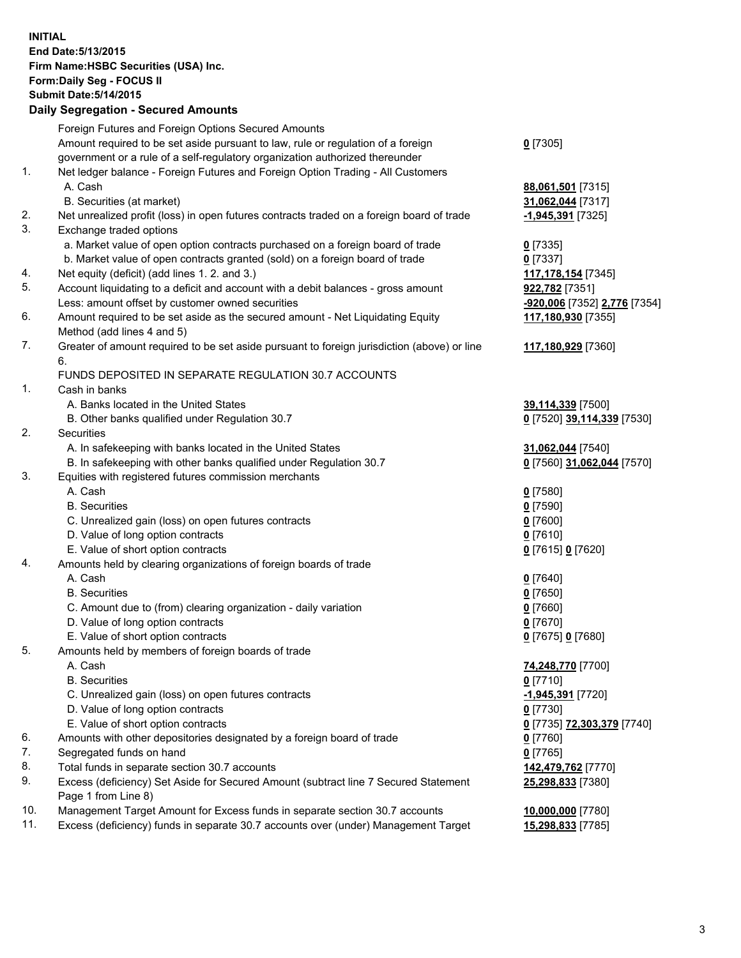**INITIAL End Date:5/13/2015 Firm Name:HSBC Securities (USA) Inc. Form:Daily Seg - FOCUS II Submit Date:5/14/2015 Daily Segregation - Secured Amounts**

Foreign Futures and Foreign Options Secured Amounts Amount required to be set aside pursuant to law, rule or regulation of a foreign government or a rule of a self-regulatory organization authorized thereunder **0** [7305] 1. Net ledger balance - Foreign Futures and Foreign Option Trading - All Customers A. Cash **88,061,501** [7315] B. Securities (at market) **31,062,044** [7317] 2. Net unrealized profit (loss) in open futures contracts traded on a foreign board of trade **-1,945,391** [7325] 3. Exchange traded options a. Market value of open option contracts purchased on a foreign board of trade **0** [7335] b. Market value of open contracts granted (sold) on a foreign board of trade **0** [7337] 4. Net equity (deficit) (add lines 1. 2. and 3.) **117,178,154** [7345] 5. Account liquidating to a deficit and account with a debit balances - gross amount **922,782** [7351] Less: amount offset by customer owned securities **-920,006** [7352] **2,776** [7354] 6. Amount required to be set aside as the secured amount - Net Liquidating Equity Method (add lines 4 and 5) **117,180,930** [7355] 7. Greater of amount required to be set aside pursuant to foreign jurisdiction (above) or line 6. **117,180,929** [7360] FUNDS DEPOSITED IN SEPARATE REGULATION 30.7 ACCOUNTS 1. Cash in banks A. Banks located in the United States **39,114,339** [7500] B. Other banks qualified under Regulation 30.7 **0** [7520] **39,114,339** [7530] 2. Securities A. In safekeeping with banks located in the United States **31,062,044** [7540] B. In safekeeping with other banks qualified under Regulation 30.7 **0** [7560] **31,062,044** [7570] 3. Equities with registered futures commission merchants A. Cash **0** [7580] B. Securities **0** [7590] C. Unrealized gain (loss) on open futures contracts **0** [7600] D. Value of long option contracts **0** [7610] E. Value of short option contracts **0** [7615] **0** [7620] 4. Amounts held by clearing organizations of foreign boards of trade A. Cash **0** [7640] B. Securities **0** [7650] C. Amount due to (from) clearing organization - daily variation **0** [7660] D. Value of long option contracts **0** [7670] E. Value of short option contracts **0** [7675] **0** [7680] 5. Amounts held by members of foreign boards of trade A. Cash **74,248,770** [7700] B. Securities **0** [7710] C. Unrealized gain (loss) on open futures contracts **-1,945,391** [7720] D. Value of long option contracts **0** [7730] E. Value of short option contracts **0** [7735] **72,303,379** [7740] 6. Amounts with other depositories designated by a foreign board of trade **0** [7760] 7. Segregated funds on hand **0** [7765] 8. Total funds in separate section 30.7 accounts **142,479,762** [7770] 9. Excess (deficiency) Set Aside for Secured Amount (subtract line 7 Secured Statement Page 1 from Line 8) **25,298,833** [7380] 10. Management Target Amount for Excess funds in separate section 30.7 accounts **10,000,000** [7780] 11. Excess (deficiency) funds in separate 30.7 accounts over (under) Management Target **15,298,833** [7785]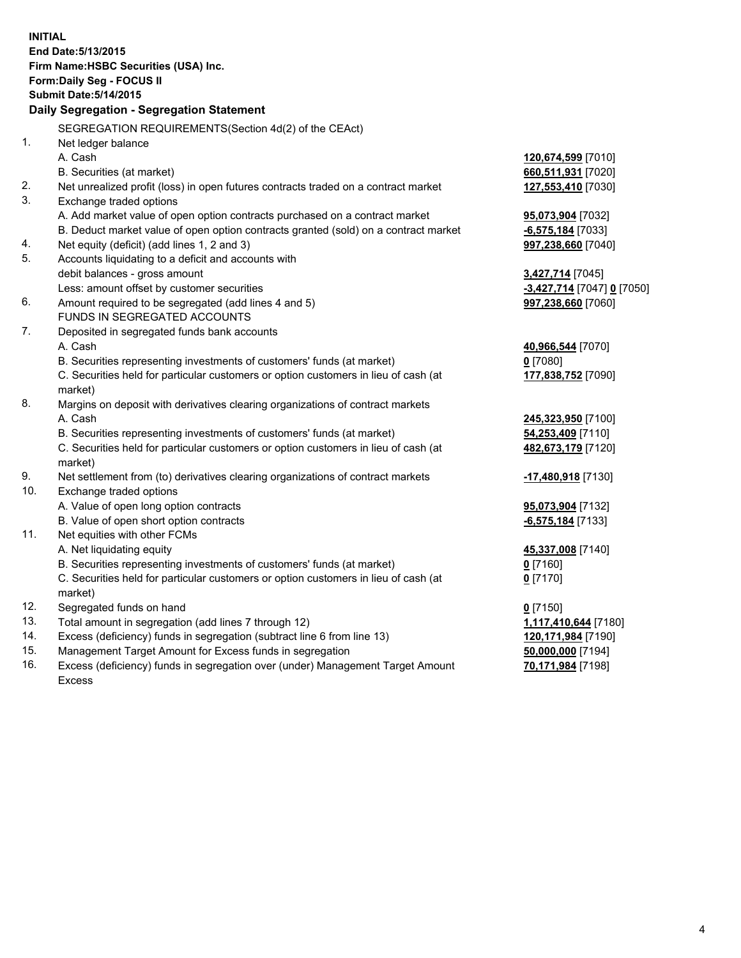|     | <b>INITIAL</b>                                                                                 |                            |  |  |  |  |
|-----|------------------------------------------------------------------------------------------------|----------------------------|--|--|--|--|
|     | End Date: 5/13/2015                                                                            |                            |  |  |  |  |
|     | Firm Name: HSBC Securities (USA) Inc.                                                          |                            |  |  |  |  |
|     | Form: Daily Seg - FOCUS II                                                                     |                            |  |  |  |  |
|     | <b>Submit Date: 5/14/2015</b>                                                                  |                            |  |  |  |  |
|     | Daily Segregation - Segregation Statement                                                      |                            |  |  |  |  |
|     |                                                                                                |                            |  |  |  |  |
|     | SEGREGATION REQUIREMENTS(Section 4d(2) of the CEAct)                                           |                            |  |  |  |  |
| 1.  | Net ledger balance                                                                             |                            |  |  |  |  |
|     | A. Cash                                                                                        | 120,674,599 [7010]         |  |  |  |  |
|     | B. Securities (at market)                                                                      | 660,511,931 [7020]         |  |  |  |  |
| 2.  | Net unrealized profit (loss) in open futures contracts traded on a contract market             | 127,553,410 [7030]         |  |  |  |  |
| 3.  | Exchange traded options                                                                        |                            |  |  |  |  |
|     | A. Add market value of open option contracts purchased on a contract market                    | 95,073,904 [7032]          |  |  |  |  |
|     | B. Deduct market value of open option contracts granted (sold) on a contract market            | -6,575,184 [7033]          |  |  |  |  |
| 4.  | Net equity (deficit) (add lines 1, 2 and 3)                                                    | 997,238,660 [7040]         |  |  |  |  |
| 5.  | Accounts liquidating to a deficit and accounts with                                            |                            |  |  |  |  |
|     | debit balances - gross amount                                                                  | 3,427,714 [7045]           |  |  |  |  |
|     | Less: amount offset by customer securities                                                     | -3,427,714 [7047] 0 [7050] |  |  |  |  |
| 6.  | Amount required to be segregated (add lines 4 and 5)                                           | 997,238,660 [7060]         |  |  |  |  |
|     | FUNDS IN SEGREGATED ACCOUNTS                                                                   |                            |  |  |  |  |
| 7.  | Deposited in segregated funds bank accounts                                                    |                            |  |  |  |  |
|     | A. Cash                                                                                        | 40,966,544 [7070]          |  |  |  |  |
|     | B. Securities representing investments of customers' funds (at market)                         | $0$ [7080]                 |  |  |  |  |
|     | C. Securities held for particular customers or option customers in lieu of cash (at            | 177,838,752 [7090]         |  |  |  |  |
|     | market)                                                                                        |                            |  |  |  |  |
| 8.  | Margins on deposit with derivatives clearing organizations of contract markets                 |                            |  |  |  |  |
|     | A. Cash                                                                                        | 245,323,950 [7100]         |  |  |  |  |
|     | B. Securities representing investments of customers' funds (at market)                         | 54,253,409 [7110]          |  |  |  |  |
|     | C. Securities held for particular customers or option customers in lieu of cash (at<br>market) | 482,673,179 [7120]         |  |  |  |  |
| 9.  | Net settlement from (to) derivatives clearing organizations of contract markets                | -17,480,918 [7130]         |  |  |  |  |
| 10. | Exchange traded options                                                                        |                            |  |  |  |  |
|     | A. Value of open long option contracts                                                         | 95,073,904 [7132]          |  |  |  |  |
|     | B. Value of open short option contracts                                                        | -6,575,184 [7133]          |  |  |  |  |
| 11. | Net equities with other FCMs                                                                   |                            |  |  |  |  |
|     | A. Net liquidating equity                                                                      | 45,337,008 [7140]          |  |  |  |  |
|     | B. Securities representing investments of customers' funds (at market)                         | $0$ [7160]                 |  |  |  |  |
|     | C. Securities held for particular customers or option customers in lieu of cash (at            | 0 <sup>[7170]</sup>        |  |  |  |  |
|     | market)                                                                                        |                            |  |  |  |  |
| 12. | Segregated funds on hand                                                                       | $0$ [7150]                 |  |  |  |  |
| 13. | Total amount in segregation (add lines 7 through 12)                                           | 1,117,410,644 [7180]       |  |  |  |  |
| 14. | Excess (deficiency) funds in segregation (subtract line 6 from line 13)                        | 120,171,984 [7190]         |  |  |  |  |
| 15. | Management Target Amount for Excess funds in segregation                                       | 50,000,000 [7194]          |  |  |  |  |
| 16. | Excess (deficiency) funds in segregation over (under) Management Target Amount                 | 70,171,984 [7198]          |  |  |  |  |

Excess